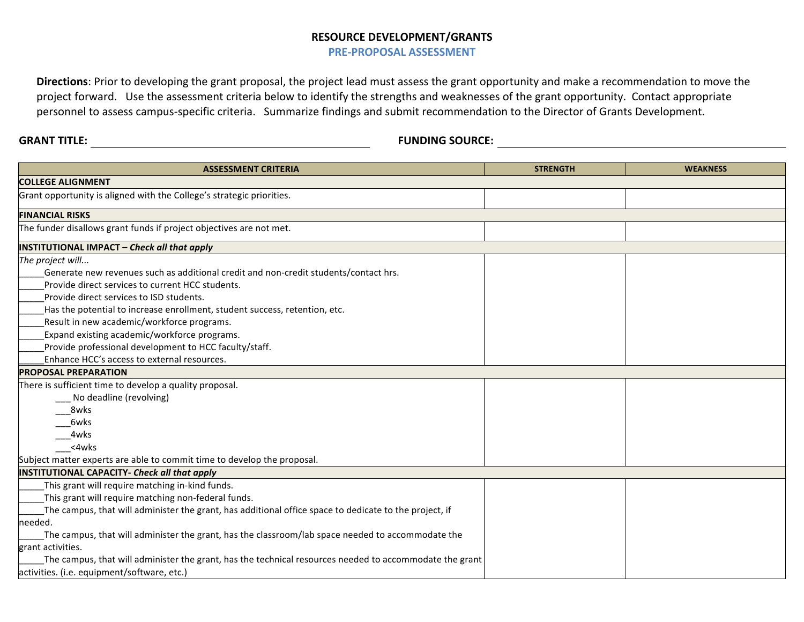## **RESOURCE DEVELOPMENT/GRANTS**

**PRE-PROPOSAL ASSESSMENT** 

**Directions**: Prior to developing the grant proposal, the project lead must assess the grant opportunity and make a recommendation to move the project forward. Use the assessment criteria below to identify the strengths and weaknesses of the grant opportunity. Contact appropriate personnel to assess campus-specific criteria. Summarize findings and submit recommendation to the Director of Grants Development.

**GRANT TITLE: FUNDING SOURCE:**

| <b>ASSESSMENT CRITERIA</b>                                                                               | <b>STRENGTH</b> | <b>WEAKNESS</b> |  |
|----------------------------------------------------------------------------------------------------------|-----------------|-----------------|--|
| <b>COLLEGE ALIGNMENT</b>                                                                                 |                 |                 |  |
| Grant opportunity is aligned with the College's strategic priorities.                                    |                 |                 |  |
| <b>FINANCIAL RISKS</b>                                                                                   |                 |                 |  |
| The funder disallows grant funds if project objectives are not met.                                      |                 |                 |  |
| <b>INSTITUTIONAL IMPACT - Check all that apply</b>                                                       |                 |                 |  |
| The project will<br>Generate new revenues such as additional credit and non-credit students/contact hrs. |                 |                 |  |
| Provide direct services to current HCC students.                                                         |                 |                 |  |
| Provide direct services to ISD students.                                                                 |                 |                 |  |
| Has the potential to increase enrollment, student success, retention, etc.                               |                 |                 |  |
| Result in new academic/workforce programs.                                                               |                 |                 |  |
| Expand existing academic/workforce programs.                                                             |                 |                 |  |
| Provide professional development to HCC faculty/staff.                                                   |                 |                 |  |
| Enhance HCC's access to external resources.                                                              |                 |                 |  |
| <b>PROPOSAL PREPARATION</b>                                                                              |                 |                 |  |
| There is sufficient time to develop a quality proposal.                                                  |                 |                 |  |
| No deadline (revolving)                                                                                  |                 |                 |  |
| 8wks                                                                                                     |                 |                 |  |
| 6wks                                                                                                     |                 |                 |  |
| 4wks                                                                                                     |                 |                 |  |
| <4wks                                                                                                    |                 |                 |  |
| Subject matter experts are able to commit time to develop the proposal.                                  |                 |                 |  |
| INSTITUTIONAL CAPACITY- Check all that apply                                                             |                 |                 |  |
| This grant will require matching in-kind funds.                                                          |                 |                 |  |
| This grant will require matching non-federal funds.                                                      |                 |                 |  |
| The campus, that will administer the grant, has additional office space to dedicate to the project, if   |                 |                 |  |
| needed.                                                                                                  |                 |                 |  |
| The campus, that will administer the grant, has the classroom/lab space needed to accommodate the        |                 |                 |  |
| grant activities.                                                                                        |                 |                 |  |
| The campus, that will administer the grant, has the technical resources needed to accommodate the grant  |                 |                 |  |
| activities. (i.e. equipment/software, etc.)                                                              |                 |                 |  |